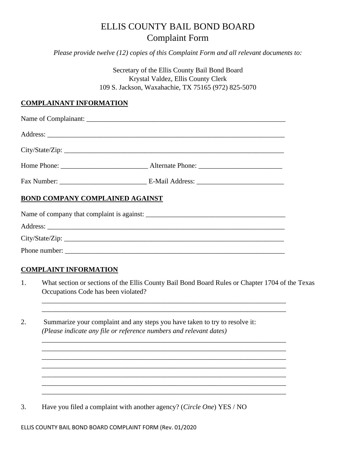## ELLIS COUNTY BAIL BOND BOARD Complaint Form

*Please provide twelve (12) copies of this Complaint Form and all relevant documents to:*

Secretary of the Ellis County Bail Bond Board Krystal Valdez, Ellis County Clerk 109 S. Jackson, Waxahachie, TX 75165 (972) 825-5070

## **COMPLAINANT INFORMATION**

| BOND COMPANY COMPLAINED AGAINST |                 |
|---------------------------------|-----------------|
|                                 |                 |
|                                 |                 |
|                                 | City/State/Zip: |
| Phone number:                   |                 |

## **COMPLAINT INFORMATION**

1. What section or sections of the Ellis County Bail Bond Board Rules or Chapter 1704 of the Texas Occupations Code has been violated?

\_\_\_\_\_\_\_\_\_\_\_\_\_\_\_\_\_\_\_\_\_\_\_\_\_\_\_\_\_\_\_\_\_\_\_\_\_\_\_\_\_\_\_\_\_\_\_\_\_\_\_\_\_\_\_\_\_\_\_\_\_\_\_\_\_\_\_\_\_\_ \_\_\_\_\_\_\_\_\_\_\_\_\_\_\_\_\_\_\_\_\_\_\_\_\_\_\_\_\_\_\_\_\_\_\_\_\_\_\_\_\_\_\_\_\_\_\_\_\_\_\_\_\_\_\_\_\_\_\_\_\_\_\_\_\_\_\_\_\_\_

\_\_\_\_\_\_\_\_\_\_\_\_\_\_\_\_\_\_\_\_\_\_\_\_\_\_\_\_\_\_\_\_\_\_\_\_\_\_\_\_\_\_\_\_\_\_\_\_\_\_\_\_\_\_\_\_\_\_\_\_\_\_\_\_\_\_\_\_\_\_ \_\_\_\_\_\_\_\_\_\_\_\_\_\_\_\_\_\_\_\_\_\_\_\_\_\_\_\_\_\_\_\_\_\_\_\_\_\_\_\_\_\_\_\_\_\_\_\_\_\_\_\_\_\_\_\_\_\_\_\_\_\_\_\_\_\_\_\_\_\_ \_\_\_\_\_\_\_\_\_\_\_\_\_\_\_\_\_\_\_\_\_\_\_\_\_\_\_\_\_\_\_\_\_\_\_\_\_\_\_\_\_\_\_\_\_\_\_\_\_\_\_\_\_\_\_\_\_\_\_\_\_\_\_\_\_\_\_\_\_\_ \_\_\_\_\_\_\_\_\_\_\_\_\_\_\_\_\_\_\_\_\_\_\_\_\_\_\_\_\_\_\_\_\_\_\_\_\_\_\_\_\_\_\_\_\_\_\_\_\_\_\_\_\_\_\_\_\_\_\_\_\_\_\_\_\_\_\_\_\_\_ \_\_\_\_\_\_\_\_\_\_\_\_\_\_\_\_\_\_\_\_\_\_\_\_\_\_\_\_\_\_\_\_\_\_\_\_\_\_\_\_\_\_\_\_\_\_\_\_\_\_\_\_\_\_\_\_\_\_\_\_\_\_\_\_\_\_\_\_\_\_

\_\_\_\_\_\_\_\_\_\_\_\_\_\_\_\_\_\_\_\_\_\_\_\_\_\_\_\_\_\_\_\_\_\_\_\_\_\_\_\_\_\_\_\_\_\_\_\_\_\_\_\_\_\_\_\_\_\_\_\_\_\_\_\_\_\_\_\_\_\_

2. Summarize your complaint and any steps you have taken to try to resolve it: *(Please indicate any file or reference numbers and relevant dates)* 

3. Have you filed a complaint with another agency? (*Circle One*) YES / NO

ELLIS COUNTY BAIL BOND BOARD COMPLAINT FORM (Rev. 01/2020